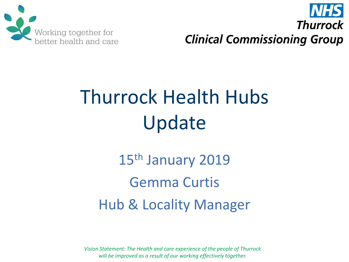



# Thurrock Health Hubs Update

15<sup>th</sup> January 2019 Gemma Curtis Hub & Locality Manager

*Vision Statement: The Health and care experience of the people of Thurrock will be improved as a result of our working effectively together.*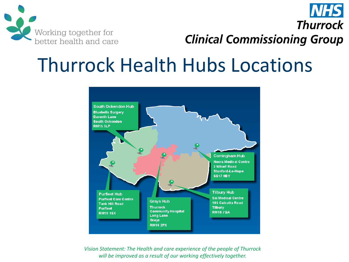

**NHS Thurrock Clinical Commissioning Group** 

#### Thurrock Health Hubs Locations



*Vision Statement: The Health and care experience of the people of Thurrock will be improved as a result of our working effectively together.*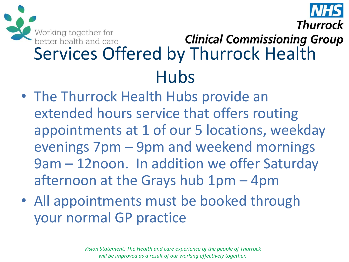

#### Working together for<br>better health and care<br>Services Offered by Thurrock Health **Clinical Commissioning Group** Hubs

- The Thurrock Health Hubs provide an extended hours service that offers routing appointments at 1 of our 5 locations, weekday evenings 7pm – 9pm and weekend mornings 9am – 12noon. In addition we offer Saturday afternoon at the Grays hub 1pm – 4pm
- All appointments must be booked through your normal GP practice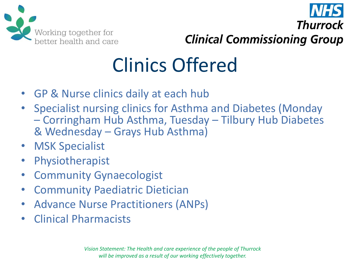

Thurrock **Clinical Commissioning Group** 

## Clinics Offered

- GP & Nurse clinics daily at each hub
- Specialist nursing clinics for Asthma and Diabetes (Monday – Corringham Hub Asthma, Tuesday – Tilbury Hub Diabetes & Wednesday – Grays Hub Asthma)
- MSK Specialist
- **Physiotherapist**
- **Community Gynaecologist**
- Community Paediatric Dietician
- Advance Nurse Practitioners (ANPs)
- Clinical Pharmacists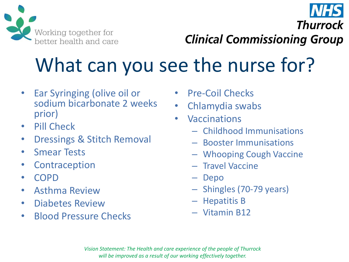

**Clinical Commissioning Group** 

**Thurrock** 

## What can you see the nurse for?

- Ear Syringing (olive oil or sodium bicarbonate 2 weeks prior)
- Pill Check
- Dressings & Stitch Removal
- **Smear Tests**
- **Contraception**
- COPD
- Asthma Review
- Diabetes Review
- Blood Pressure Checks
- Pre-Coil Checks
- Chlamydia swabs
- Vaccinations
	- Childhood Immunisations
	- Booster Immunisations
	- Whooping Cough Vaccine
	- Travel Vaccine
	- Depo
	- Shingles (70-79 years)
	- Hepatitis B
	- Vitamin B12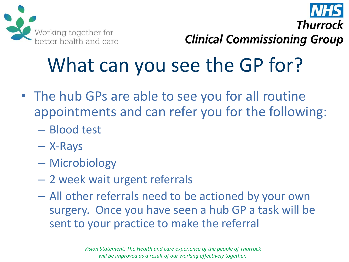

**Thurrock Clinical Commissioning Group** 

# What can you see the GP for?

- The hub GPs are able to see you for all routine appointments and can refer you for the following:
	- Blood test
	- X-Rays
	- Microbiology
	- 2 week wait urgent referrals
	- All other referrals need to be actioned by your own surgery. Once you have seen a hub GP a task will be sent to your practice to make the referral